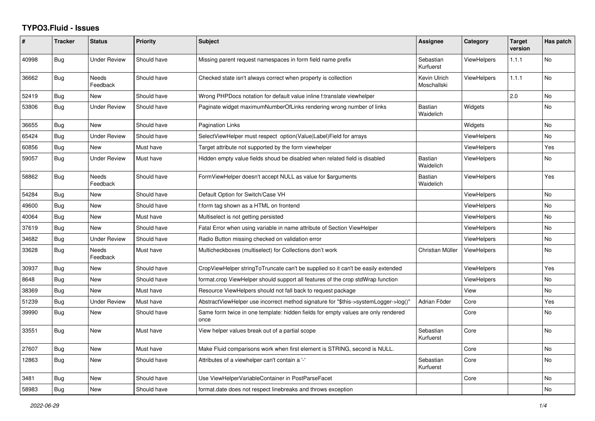## **TYPO3.Fluid - Issues**

| #     | <b>Tracker</b> | <b>Status</b>       | Priority    | <b>Subject</b>                                                                            | <b>Assignee</b>             | Category           | <b>Target</b><br>version | Has patch      |
|-------|----------------|---------------------|-------------|-------------------------------------------------------------------------------------------|-----------------------------|--------------------|--------------------------|----------------|
| 40998 | Bug            | <b>Under Review</b> | Should have | Missing parent request namespaces in form field name prefix                               | Sebastian<br>Kurfuerst      | <b>ViewHelpers</b> | 1.1.1                    | No             |
| 36662 | <b>Bug</b>     | Needs<br>Feedback   | Should have | Checked state isn't always correct when property is collection                            | Kevin Ulrich<br>Moschallski | <b>ViewHelpers</b> | 1.1.1                    | No             |
| 52419 | <b>Bug</b>     | New                 | Should have | Wrong PHPDocs notation for default value inline f:translate viewhelper                    |                             |                    | 2.0                      | No             |
| 53806 | <b>Bug</b>     | <b>Under Review</b> | Should have | Paginate widget maximumNumberOfLinks rendering wrong number of links                      | <b>Bastian</b><br>Waidelich | Widgets            |                          | N <sub>o</sub> |
| 36655 | Bug            | New                 | Should have | Pagination Links                                                                          |                             | Widgets            |                          | No             |
| 65424 | Bug            | <b>Under Review</b> | Should have | SelectViewHelper must respect option(Value Label)Field for arrays                         |                             | ViewHelpers        |                          | No.            |
| 60856 | Bug            | New                 | Must have   | Target attribute not supported by the form viewhelper                                     |                             | <b>ViewHelpers</b> |                          | Yes            |
| 59057 | Bug            | <b>Under Review</b> | Must have   | Hidden empty value fields shoud be disabled when related field is disabled                | Bastian<br>Waidelich        | <b>ViewHelpers</b> |                          | No             |
| 58862 | Bug            | Needs<br>Feedback   | Should have | FormViewHelper doesn't accept NULL as value for \$arguments                               | Bastian<br>Waidelich        | <b>ViewHelpers</b> |                          | Yes            |
| 54284 | Bug            | New                 | Should have | Default Option for Switch/Case VH                                                         |                             | <b>ViewHelpers</b> |                          | No             |
| 49600 | Bug            | New                 | Should have | f:form tag shown as a HTML on frontend                                                    |                             | <b>ViewHelpers</b> |                          | No.            |
| 40064 | Bug            | New                 | Must have   | Multiselect is not getting persisted                                                      |                             | <b>ViewHelpers</b> |                          | No             |
| 37619 | Bug            | New                 | Should have | Fatal Error when using variable in name attribute of Section ViewHelper                   |                             | <b>ViewHelpers</b> |                          | No             |
| 34682 | Bug            | <b>Under Review</b> | Should have | Radio Button missing checked on validation error                                          |                             | <b>ViewHelpers</b> |                          | No             |
| 33628 | Bug            | Needs<br>Feedback   | Must have   | Multicheckboxes (multiselect) for Collections don't work                                  | Christian Müller            | <b>ViewHelpers</b> |                          | No.            |
| 30937 | Bug            | New                 | Should have | CropViewHelper stringToTruncate can't be supplied so it can't be easily extended          |                             | <b>ViewHelpers</b> |                          | Yes            |
| 8648  | <b>Bug</b>     | <b>New</b>          | Should have | format.crop ViewHelper should support all features of the crop stdWrap function           |                             | <b>ViewHelpers</b> |                          | No.            |
| 38369 | Bug            | New                 | Must have   | Resource ViewHelpers should not fall back to request package                              |                             | View               |                          | No             |
| 51239 | Bug            | Under Review        | Must have   | AbstractViewHelper use incorrect method signature for "\$this->systemLogger->log()"       | Adrian Föder                | Core               |                          | Yes            |
| 39990 | Bug            | <b>New</b>          | Should have | Same form twice in one template: hidden fields for empty values are only rendered<br>once |                             | Core               |                          | No.            |
| 33551 | <b>Bug</b>     | New                 | Must have   | View helper values break out of a partial scope                                           | Sebastian<br>Kurfuerst      | Core               |                          | No             |
| 27607 | Bug            | New                 | Must have   | Make Fluid comparisons work when first element is STRING, second is NULL.                 |                             | Core               |                          | No             |
| 12863 | Bug            | New                 | Should have | Attributes of a viewhelper can't contain a '-'                                            | Sebastian<br>Kurfuerst      | Core               |                          | No             |
| 3481  | Bug            | New                 | Should have | Use ViewHelperVariableContainer in PostParseFacet                                         |                             | Core               |                          | No             |
| 58983 | Bug            | New                 | Should have | format.date does not respect linebreaks and throws exception                              |                             |                    |                          | No             |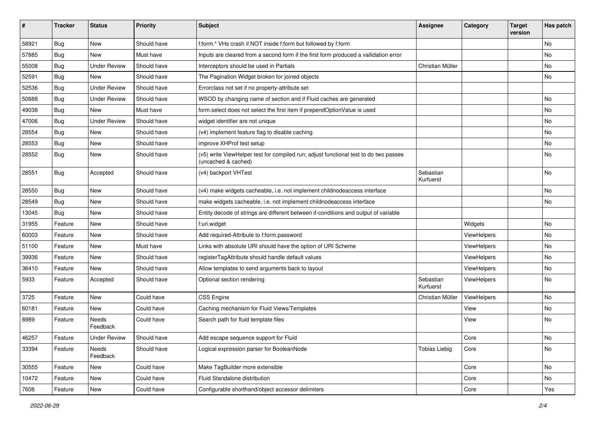| ∦     | <b>Tracker</b> | <b>Status</b>       | <b>Priority</b> | <b>Subject</b>                                                                                              | <b>Assignee</b>        | Category    | <b>Target</b><br>version | Has patch |
|-------|----------------|---------------------|-----------------|-------------------------------------------------------------------------------------------------------------|------------------------|-------------|--------------------------|-----------|
| 58921 | Bug            | New                 | Should have     | f:form.* VHs crash if NOT inside f:form but followed by f:form                                              |                        |             |                          | <b>No</b> |
| 57885 | <b>Bug</b>     | New                 | Must have       | Inputs are cleared from a second form if the first form produced a vallidation error                        |                        |             |                          | No        |
| 55008 | <b>Bug</b>     | <b>Under Review</b> | Should have     | Interceptors should be used in Partials                                                                     | Christian Müller       |             |                          | No        |
| 52591 | Bug            | New                 | Should have     | The Pagination Widget broken for joined objects                                                             |                        |             |                          | No        |
| 52536 | <b>Bug</b>     | <b>Under Review</b> | Should have     | Errorclass not set if no property-attribute set                                                             |                        |             |                          |           |
| 50888 | Bug            | <b>Under Review</b> | Should have     | WSOD by changing name of section and if Fluid caches are generated                                          |                        |             |                          | <b>No</b> |
| 49038 | Bug            | New                 | Must have       | form.select does not select the first item if prependOptionValue is used                                    |                        |             |                          | No        |
| 47006 | <b>Bug</b>     | <b>Under Review</b> | Should have     | widget identifier are not unique                                                                            |                        |             |                          | No        |
| 28554 | Bug            | New                 | Should have     | (v4) implement feature flag to disable caching                                                              |                        |             |                          | No        |
| 28553 | <b>Bug</b>     | New                 | Should have     | improve XHProf test setup                                                                                   |                        |             |                          | No        |
| 28552 | <b>Bug</b>     | New                 | Should have     | (v5) write ViewHelper test for compiled run; adjust functional test to do two passes<br>(uncached & cached) |                        |             |                          | No        |
| 28551 | Bug            | Accepted            | Should have     | (v4) backport VHTest                                                                                        | Sebastian<br>Kurfuerst |             |                          | <b>No</b> |
| 28550 | <b>Bug</b>     | New                 | Should have     | (v4) make widgets cacheable, i.e. not implement childnodeaccess interface                                   |                        |             |                          | No        |
| 28549 | <b>Bug</b>     | New                 | Should have     | make widgets cacheable, i.e. not implement childnodeaccess interface                                        |                        |             |                          | No        |
| 13045 | Bug            | New                 | Should have     | Entity decode of strings are different between if-conditions and output of variable                         |                        |             |                          |           |
| 31955 | Feature        | New                 | Should have     | f:uri.widget                                                                                                |                        | Widgets     |                          | No        |
| 60003 | Feature        | New                 | Should have     | Add required-Attribute to f:form.password                                                                   |                        | ViewHelpers |                          | No        |
| 51100 | Feature        | New                 | Must have       | Links with absolute URI should have the option of URI Scheme                                                |                        | ViewHelpers |                          | No        |
| 39936 | Feature        | New                 | Should have     | registerTagAttribute should handle default values                                                           |                        | ViewHelpers |                          | No        |
| 36410 | Feature        | New                 | Should have     | Allow templates to send arguments back to layout                                                            |                        | ViewHelpers |                          | No        |
| 5933  | Feature        | Accepted            | Should have     | Optional section rendering                                                                                  | Sebastian<br>Kurfuerst | ViewHelpers |                          | No        |
| 3725  | Feature        | New                 | Could have      | <b>CSS Engine</b>                                                                                           | Christian Müller       | ViewHelpers |                          | <b>No</b> |
| 60181 | Feature        | New                 | Could have      | Caching mechanism for Fluid Views/Templates                                                                 |                        | View        |                          | No        |
| 8989  | Feature        | Needs<br>Feedback   | Could have      | Search path for fluid template files                                                                        |                        | View        |                          | <b>No</b> |
| 46257 | Feature        | <b>Under Review</b> | Should have     | Add escape sequence support for Fluid                                                                       |                        | Core        |                          | No.       |
| 33394 | Feature        | Needs<br>Feedback   | Should have     | Logical expression parser for BooleanNode                                                                   | <b>Tobias Liebig</b>   | Core        |                          | No        |
| 30555 | Feature        | New                 | Could have      | Make TagBuilder more extensible                                                                             |                        | Core        |                          | No        |
| 10472 | Feature        | New                 | Could have      | Fluid Standalone distribution                                                                               |                        | Core        |                          | No        |
| 7608  | Feature        | New                 | Could have      | Configurable shorthand/object accessor delimiters                                                           |                        | Core        |                          | Yes       |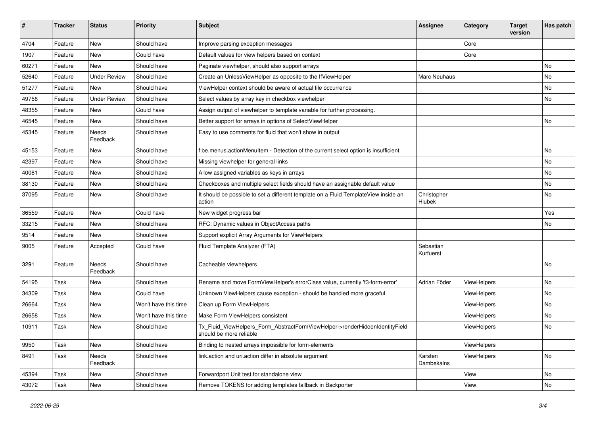| #     | <b>Tracker</b> | <b>Status</b>            | <b>Priority</b>      | Subject                                                                                                | <b>Assignee</b>        | Category    | <b>Target</b><br>version | Has patch |
|-------|----------------|--------------------------|----------------------|--------------------------------------------------------------------------------------------------------|------------------------|-------------|--------------------------|-----------|
| 4704  | Feature        | New                      | Should have          | Improve parsing exception messages                                                                     |                        | Core        |                          |           |
| 1907  | Feature        | New                      | Could have           | Default values for view helpers based on context                                                       |                        | Core        |                          |           |
| 60271 | Feature        | New                      | Should have          | Paginate viewhelper, should also support arrays                                                        |                        |             |                          | No        |
| 52640 | Feature        | <b>Under Review</b>      | Should have          | Create an UnlessViewHelper as opposite to the IfViewHelper                                             | Marc Neuhaus           |             |                          | No        |
| 51277 | Feature        | New                      | Should have          | ViewHelper context should be aware of actual file occurrence                                           |                        |             |                          | No        |
| 49756 | Feature        | <b>Under Review</b>      | Should have          | Select values by array key in checkbox viewhelper                                                      |                        |             |                          | No        |
| 48355 | Feature        | New                      | Could have           | Assign output of viewhelper to template variable for further processing.                               |                        |             |                          |           |
| 46545 | Feature        | New                      | Should have          | Better support for arrays in options of SelectViewHelper                                               |                        |             |                          | No        |
| 45345 | Feature        | Needs<br>Feedback        | Should have          | Easy to use comments for fluid that won't show in output                                               |                        |             |                          |           |
| 45153 | Feature        | New                      | Should have          | f:be.menus.actionMenuItem - Detection of the current select option is insufficient                     |                        |             |                          | No        |
| 42397 | Feature        | New                      | Should have          | Missing viewhelper for general links                                                                   |                        |             |                          | No        |
| 40081 | Feature        | New                      | Should have          | Allow assigned variables as keys in arrays                                                             |                        |             |                          | No        |
| 38130 | Feature        | New                      | Should have          | Checkboxes and multiple select fields should have an assignable default value                          |                        |             |                          | No        |
| 37095 | Feature        | New                      | Should have          | It should be possible to set a different template on a Fluid TemplateView inside an<br>action          | Christopher<br>Hlubek  |             |                          | No        |
| 36559 | Feature        | New                      | Could have           | New widget progress bar                                                                                |                        |             |                          | Yes       |
| 33215 | Feature        | New                      | Should have          | RFC: Dynamic values in ObjectAccess paths                                                              |                        |             |                          | No        |
| 9514  | Feature        | <b>New</b>               | Should have          | Support explicit Array Arguments for ViewHelpers                                                       |                        |             |                          |           |
| 9005  | Feature        | Accepted                 | Could have           | Fluid Template Analyzer (FTA)                                                                          | Sebastian<br>Kurfuerst |             |                          |           |
| 3291  | Feature        | <b>Needs</b><br>Feedback | Should have          | Cacheable viewhelpers                                                                                  |                        |             |                          | No        |
| 54195 | Task           | New                      | Should have          | Rename and move FormViewHelper's errorClass value, currently 'f3-form-error'                           | Adrian Föder           | ViewHelpers |                          | No        |
| 34309 | Task           | New                      | Could have           | Unknown ViewHelpers cause exception - should be handled more graceful                                  |                        | ViewHelpers |                          | No        |
| 26664 | Task           | New                      | Won't have this time | Clean up Form ViewHelpers                                                                              |                        | ViewHelpers |                          | No        |
| 26658 | Task           | New                      | Won't have this time | Make Form ViewHelpers consistent                                                                       |                        | ViewHelpers |                          | No        |
| 10911 | Task           | New                      | Should have          | Tx_Fluid_ViewHelpers_Form_AbstractFormViewHelper->renderHiddenIdentityField<br>should be more reliable |                        | ViewHelpers |                          | No        |
| 9950  | Task           | New                      | Should have          | Binding to nested arrays impossible for form-elements                                                  |                        | ViewHelpers |                          |           |
| 8491  | Task           | Needs<br>Feedback        | Should have          | link.action and uri.action differ in absolute argument                                                 | Karsten<br>Dambekalns  | ViewHelpers |                          | No        |
| 45394 | Task           | New                      | Should have          | Forwardport Unit test for standalone view                                                              |                        | View        |                          | No        |
| 43072 | Task           | New                      | Should have          | Remove TOKENS for adding templates fallback in Backporter                                              |                        | View        |                          | No        |